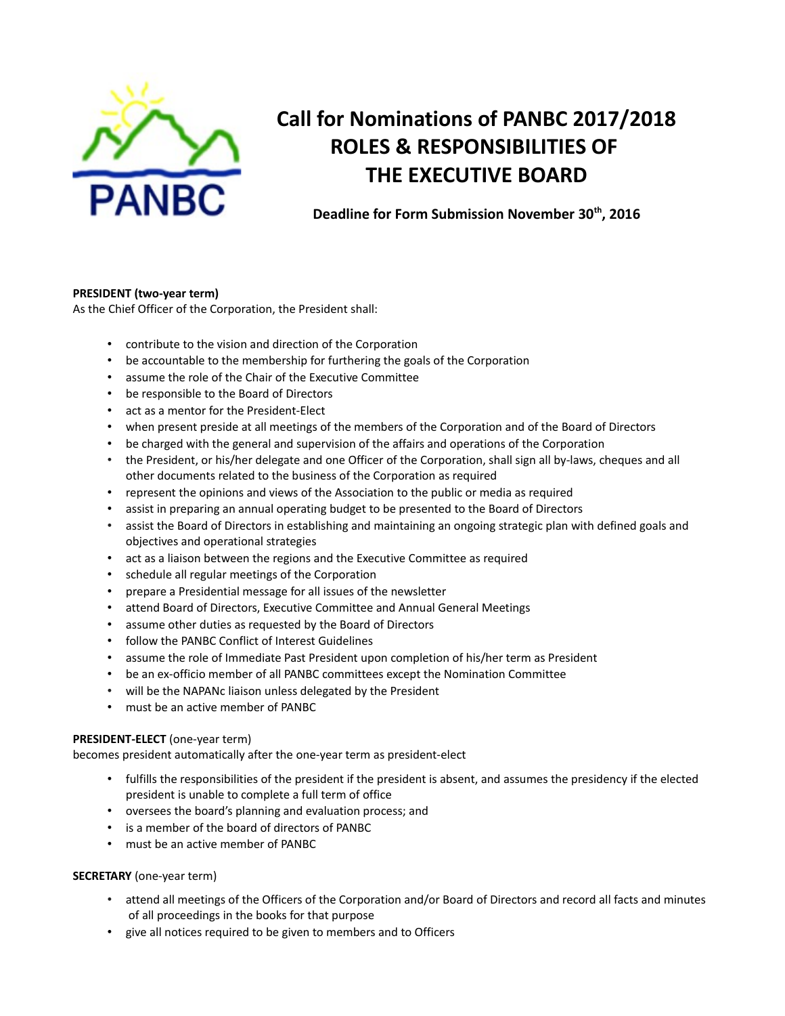

# **Call for Nominations of PANBC 2017/2018 ROLES & RESPONSIBILITIES OF THE EXECUTIVE BOARD**

**Deadline for Form Submission November 30th, 2016**

## **PRESIDENT (two-year term)**

As the Chief Officer of the Corporation, the President shall:

- contribute to the vision and direction of the Corporation
- be accountable to the membership for furthering the goals of the Corporation
- assume the role of the Chair of the Executive Committee
- be responsible to the Board of Directors
- act as a mentor for the President-Elect
- when present preside at all meetings of the members of the Corporation and of the Board of Directors
- be charged with the general and supervision of the affairs and operations of the Corporation
- the President, or his/her delegate and one Officer of the Corporation, shall sign all by-laws, cheques and all other documents related to the business of the Corporation as required
- represent the opinions and views of the Association to the public or media as required
- assist in preparing an annual operating budget to be presented to the Board of Directors
- assist the Board of Directors in establishing and maintaining an ongoing strategic plan with defined goals and objectives and operational strategies
- act as a liaison between the regions and the Executive Committee as required
- schedule all regular meetings of the Corporation
- prepare a Presidential message for all issues of the newsletter
- attend Board of Directors, Executive Committee and Annual General Meetings
- assume other duties as requested by the Board of Directors
- follow the PANBC Conflict of Interest Guidelines
- assume the role of Immediate Past President upon completion of his/her term as President
- be an ex-officio member of all PANBC committees except the Nomination Committee
- will be the NAPANc liaison unless delegated by the President
- must be an active member of PANBC

## **PRESIDENT-ELECT** (one-year term)

becomes president automatically after the one-year term as president-elect

- fulfills the responsibilities of the president if the president is absent, and assumes the presidency if the elected president is unable to complete a full term of office
- oversees the board's planning and evaluation process; and
- is a member of the board of directors of PANBC
- must be an active member of PANBC

## **SECRETARY** (one-year term)

- attend all meetings of the Officers of the Corporation and/or Board of Directors and record all facts and minutes of all proceedings in the books for that purpose
- give all notices required to be given to members and to Officers